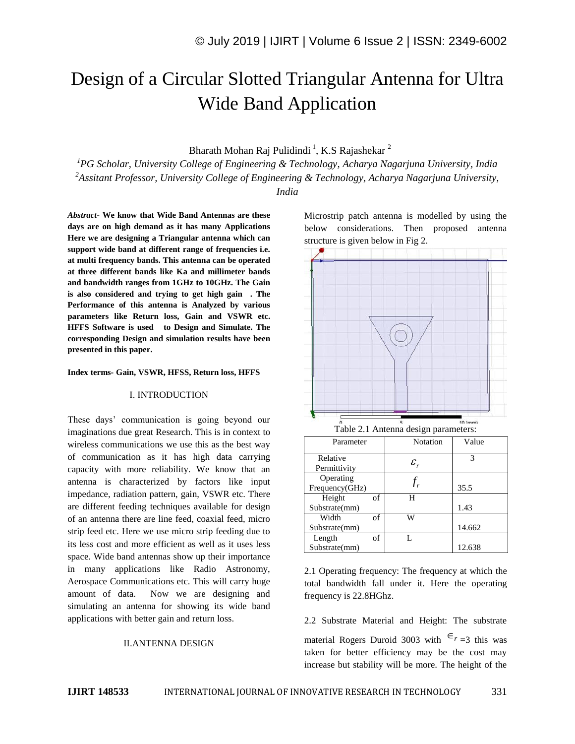# Design of a Circular Slotted Triangular Antenna for Ultra Wide Band Application

# Bharath Mohan Raj Pulidindi<sup>1</sup>, K.S Rajashekar<sup>2</sup>

*<sup>1</sup>PG Scholar, University College of Engineering & Technology, Acharya Nagarjuna University, India <sup>2</sup>Assitant Professor, University College of Engineering & Technology, Acharya Nagarjuna University,* 

*India*

*Abstract*- **We know that Wide Band Antennas are these days are on high demand as it has many Applications Here we are designing a Triangular antenna which can support wide band at different range of frequencies i.e. at multi frequency bands. This antenna can be operated at three different bands like Ka and millimeter bands and bandwidth ranges from 1GHz to 10GHz. The Gain is also considered and trying to get high gain . The Performance of this antenna is Analyzed by various parameters like Return loss, Gain and VSWR etc. HFFS Software is used to Design and Simulate. The corresponding Design and simulation results have been presented in this paper.** 

#### **Index terms- Gain, VSWR, HFSS, Return loss, HFFS**

#### I. INTRODUCTION

These days' communication is going beyond our imaginations due great Research. This is in context to wireless communications we use this as the best way of communication as it has high data carrying capacity with more reliability. We know that an antenna is characterized by factors like input impedance, radiation pattern, gain, VSWR etc. There are different feeding techniques available for design of an antenna there are line feed, coaxial feed, micro strip feed etc. Here we use micro strip feeding due to its less cost and more efficient as well as it uses less space. Wide band antennas show up their importance in many applications like Radio Astronomy, Aerospace Communications etc. This will carry huge amount of data. Now we are designing and simulating an antenna for showing its wide band applications with better gain and return loss.

#### II.ANTENNA DESIGN

Microstrip patch antenna is modelled by using the below considerations. Then proposed antenna structure is given below in Fig 2.



2.1 Operating frequency: The frequency at which the total bandwidth fall under it. Here the operating frequency is 22.8HGhz.

2.2 Substrate Material and Height: The substrate material Rogers Duroid 3003 with  $\epsilon_{r=3}$  this was taken for better efficiency may be the cost may increase but stability will be more. The height of the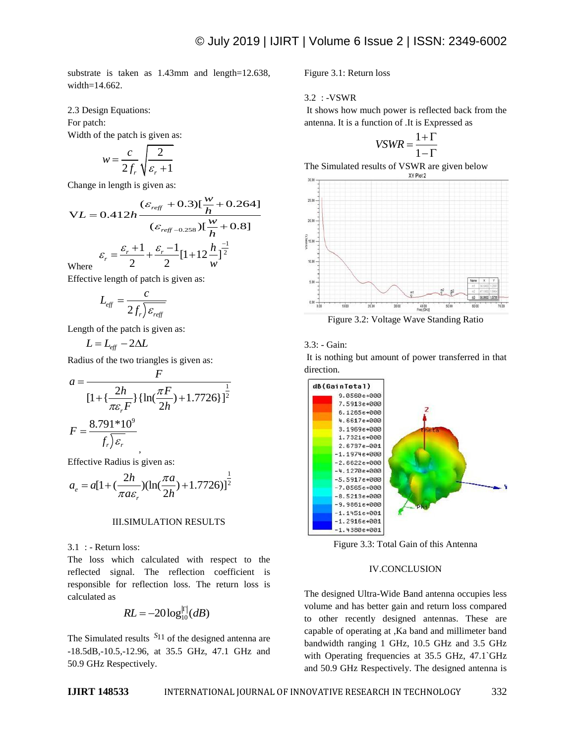substrate is taken as 1.43mm and length=12.638, width=14.662.

#### 2.3 Design Equations:

For patch: Width of the patch is given as:

$$
w = \frac{c}{2f_r} \sqrt{\frac{2}{\varepsilon_r + 1}}
$$

Change in length is given as:

Change in length is given as:  
\n
$$
(\varepsilon_{reff} + 0.3)[\frac{w}{h} + 0.264]
$$
\n
$$
VL = 0.412h \frac{(\varepsilon_{reff} - 0.358) [\frac{w}{h} + 0.8]}{(\varepsilon_{reff} - 0.258) [\frac{w}{h} + 0.8]}
$$
\n
$$
\varepsilon_r = \frac{\varepsilon_r + 1}{2} + \frac{\varepsilon_r - 1}{2} [1 + 12 \frac{h}{w}]^{\frac{-1}{2}}
$$
\nWhere

Where

Effective length of patch is given as:

$$
L_{\text{eff}} = \frac{c}{2f_r \mathcal{E}_{\text{reff}}}
$$

Length of the patch is given as:

 $L = L_{\text{eff}} - 2\Delta L$ 

Radius of the two triangles is given as:

$$
a = \frac{F}{\left[1 + \left\{\frac{2h}{\pi \varepsilon_r F}\right\} \left\{\ln\left(\frac{\pi F}{2h}\right) + 1.7726\right\}\right]^{\frac{1}{2}}}
$$

$$
F = \frac{8.791 * 10^9}{f_r \sqrt{\varepsilon_r}}
$$

Effective Radius is given as:  
\n
$$
a_e = a[1 + (\frac{2h}{\pi a \varepsilon_r})(\ln(\frac{\pi a}{2h}) + 1.7726)]^{\frac{1}{2}}
$$

#### III.SIMULATION RESULTS

3.1 : - Return loss:

The loss which calculated with respect to the reflected signal. The reflection coefficient is responsible for reflection loss. The return loss is calculated as

$$
RL = -20\log_{10}^{|\Gamma|}(dB)
$$

The Simulated results  $S_{11}$  of the designed antenna are -18.5dB,-10.5,-12.96, at 35.5 GHz, 47.1 GHz and 50.9 GHz Respectively.

Figure 3.1: Return loss

3.2 : -VSWR

It shows how much power is reflected back from the antenna. It is a function of .It is Expressed as

$$
VSWR = \frac{1+\Gamma}{1-\Gamma}
$$

The Simulated results of VSWR are given below



Figure 3.2: Voltage Wave Standing Ratio

# 3.3: - Gain:

It is nothing but amount of power transferred in that direction.



Figure 3.3: Total Gain of this Antenna

## IV.CONCLUSION

The designed Ultra-Wide Band antenna occupies less volume and has better gain and return loss compared to other recently designed antennas. These are capable of operating at ,Ka band and millimeter band bandwidth ranging 1 GHz, 10.5 GHz and 3.5 GHz with Operating frequencies at 35.5 GHz, 47.1`GHz and 50.9 GHz Respectively. The designed antenna is